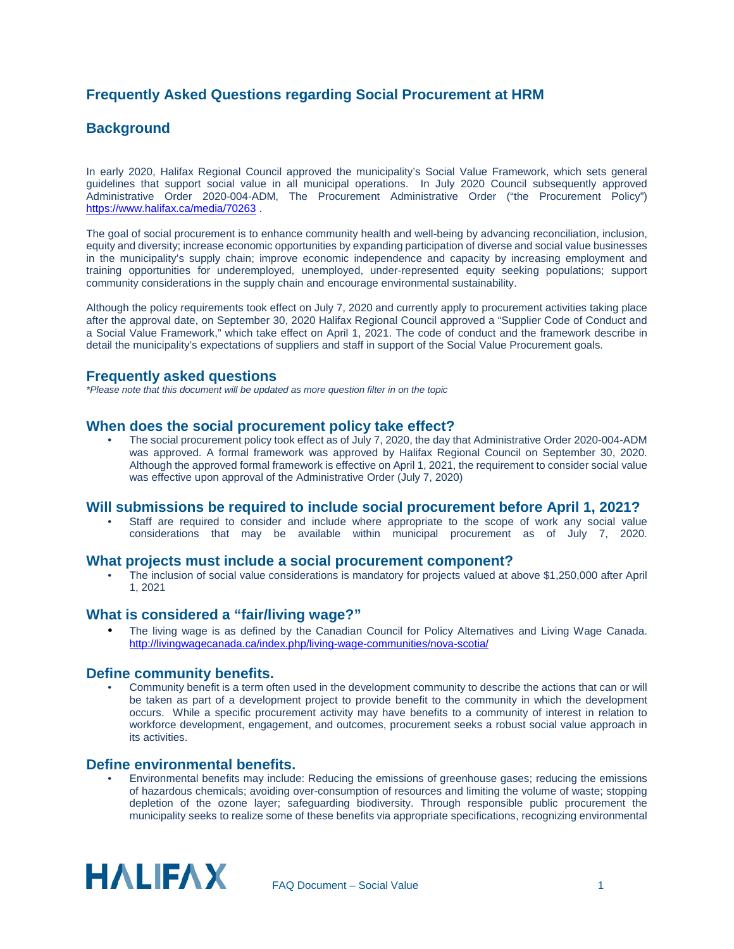# **Frequently Asked Questions regarding Social Procurement at HRM**

# **Background**

In early 2020, Halifax Regional Council approved the municipality's Social Value Framework, which sets general guidelines that support social value in all municipal operations. In July 2020 Council subsequently approved Administrative Order 2020-004-ADM, The Procurement Administrative Order ("the Procurement Policy") <https://www.halifax.ca/media/70263> .

The goal of social procurement is to enhance community health and well-being by advancing reconciliation, inclusion, equity and diversity; increase economic opportunities by expanding participation of diverse and social value businesses in the municipality's supply chain; improve economic independence and capacity by increasing employment and training opportunities for underemployed, unemployed, under-represented equity seeking populations; support community considerations in the supply chain and encourage environmental sustainability.

Although the policy requirements took effect on July 7, 2020 and currently apply to procurement activities taking place after the approval date, on September 30, 2020 Halifax Regional Council approved a "Supplier Code of Conduct and a Social Value Framework," which take effect on April 1, 2021. The code of conduct and the framework describe in detail the municipality's expectations of suppliers and staff in support of the Social Value Procurement goals.

### **Frequently asked questions**

*\*Please note that this document will be updated as more question filter in on the topic*

#### **When does the social procurement policy take effect?**

• The social procurement policy took effect as of July 7, 2020, the day that Administrative Order 2020-004-ADM was approved. A formal framework was approved by Halifax Regional Council on September 30, 2020. Although the approved formal framework is effective on April 1, 2021, the requirement to consider social value was effective upon approval of the Administrative Order (July 7, 2020)

#### **Will submissions be required to include social procurement before April 1, 2021?**

Staff are required to consider and include where appropriate to the scope of work any social value considerations that may be available within municipal procurement as of July 7, 2020.

#### **What projects must include a social procurement component?**

• The inclusion of social value considerations is mandatory for projects valued at above \$1,250,000 after April 1, 2021

#### **What is considered a "fair/living wage?"**

The living wage is as defined by the Canadian Council for Policy Alternatives and Living Wage Canada. <http://livingwagecanada.ca/index.php/living-wage-communities/nova-scotia/>

#### **Define community benefits.**

• Community benefit is a term often used in the development community to describe the actions that can or will be taken as part of a development project to provide benefit to the community in which the development occurs. While a specific procurement activity may have benefits to a community of interest in relation to workforce development, engagement, and outcomes, procurement seeks a robust social value approach in its activities.

#### **Define environmental benefits.**

• Environmental benefits may include: Reducing the emissions of greenhouse gases; reducing the emissions of hazardous chemicals; avoiding over-consumption of resources and limiting the volume of waste; stopping depletion of the ozone layer; safeguarding biodiversity. Through responsible public procurement the municipality seeks to realize some of these benefits via appropriate specifications, recognizing environmental

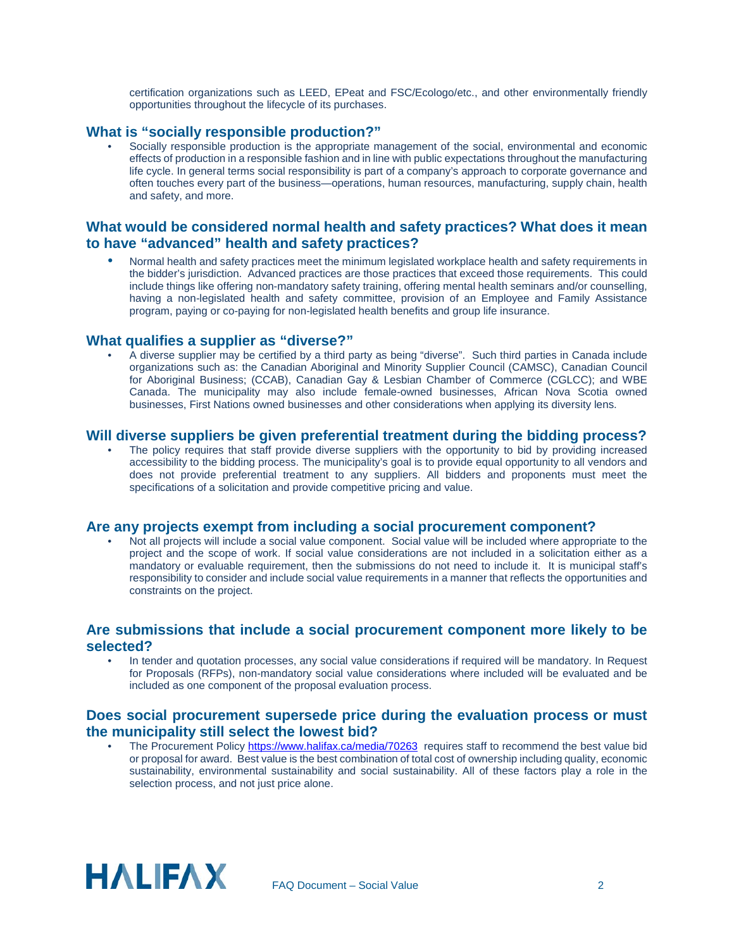certification organizations such as LEED, EPeat and FSC/Ecologo/etc., and other environmentally friendly opportunities throughout the lifecycle of its purchases.

### **What is "socially responsible production?"**

Socially responsible production is the appropriate management of the social, environmental and economic effects of production in a responsible fashion and in line with public expectations throughout the manufacturing life cycle. In general terms social responsibility is part of a company's approach to corporate governance and often touches every part of the business—operations, human resources, manufacturing, supply chain, health and safety, and more.

## **What would be considered normal health and safety practices? What does it mean to have "advanced" health and safety practices?**

• Normal health and safety practices meet the minimum legislated workplace health and safety requirements in the bidder's jurisdiction. Advanced practices are those practices that exceed those requirements. This could include things like offering non-mandatory safety training, offering mental health seminars and/or counselling, having a non-legislated health and safety committee, provision of an Employee and Family Assistance program, paying or co-paying for non-legislated health benefits and group life insurance.

#### **What qualifies a supplier as "diverse?"**

• A diverse supplier may be certified by a third party as being "diverse". Such third parties in Canada include organizations such as: the Canadian Aboriginal and Minority Supplier Council (CAMSC), Canadian Council for Aboriginal Business; (CCAB), Canadian Gay & Lesbian Chamber of Commerce (CGLCC); and WBE Canada. The municipality may also include female-owned businesses, African Nova Scotia owned businesses, First Nations owned businesses and other considerations when applying its diversity lens.

#### **Will diverse suppliers be given preferential treatment during the bidding process?**

The policy requires that staff provide diverse suppliers with the opportunity to bid by providing increased accessibility to the bidding process. The municipality's goal is to provide equal opportunity to all vendors and does not provide preferential treatment to any suppliers. All bidders and proponents must meet the specifications of a solicitation and provide competitive pricing and value.

### **Are any projects exempt from including a social procurement component?**

• Not all projects will include a social value component. Social value will be included where appropriate to the project and the scope of work. If social value considerations are not included in a solicitation either as a mandatory or evaluable requirement, then the submissions do not need to include it. It is municipal staff's responsibility to consider and include social value requirements in a manner that reflects the opportunities and constraints on the project.

### **Are submissions that include a social procurement component more likely to be selected?**

• In tender and quotation processes, any social value considerations if required will be mandatory. In Request for Proposals (RFPs), non-mandatory social value considerations where included will be evaluated and be included as one component of the proposal evaluation process.

#### **Does social procurement supersede price during the evaluation process or must the municipality still select the lowest bid?**

The Procurement Policy <https://www.halifax.ca/media/70263> requires staff to recommend the best value bid or proposal for award. Best value is the best combination of total cost of ownership including quality, economic sustainability, environmental sustainability and social sustainability. All of these factors play a role in the selection process, and not just price alone.